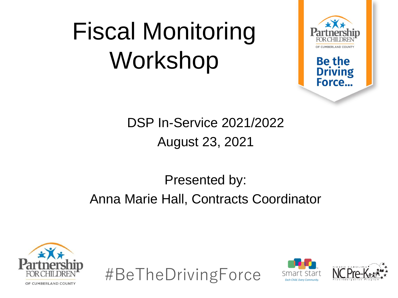#### Fiscal Monitoring Workshop



**Be the Driving** Force...

DSP In-Service 2021/2022 August 23, 2021

#### Presented by: Anna Marie Hall, Contracts Coordinator





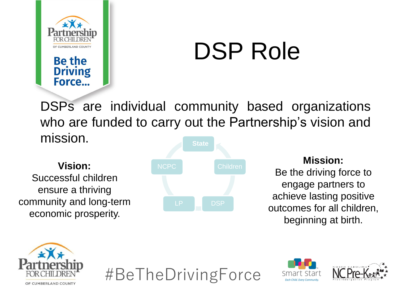

Force...

#### DSP Role

DSPs are individual community based organizations who are funded to carry out the Partnership's vision and mission. **State**

Successful children ensure a thriving community and long-term economic prosperity.



#### **Mission:**

Be the driving force to engage partners to achieve lasting positive outcomes for all children, beginning at birth.





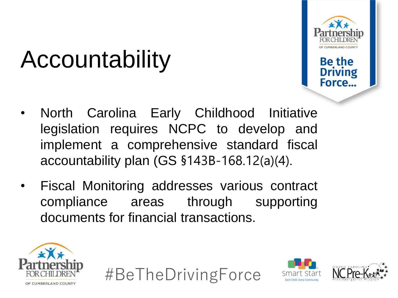

**Driving** Force.

### Accountability

- North Carolina Early Childhood Initiative legislation requires NCPC to develop and implement a comprehensive standard fiscal accountability plan (GS §143B-168.12(a)(4).
- Fiscal Monitoring addresses various contract compliance areas through supporting documents for financial transactions.







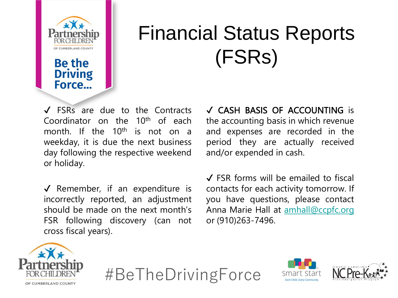

**Be the** 

**Driving** Force...

#### Financial Status Reports (FSRs)

✔ FSRs are due to the Contracts Coordinator on the  $10<sup>th</sup>$  of each month. If the 10<sup>th</sup> is not on a weekday, it is due the next business day following the respective weekend or holiday.

 $\sqrt{\ }$  Remember, if an expenditure is incorrectly reported, an adjustment should be made on the next month's FSR following discovery (can not cross fiscal years).

✔ CASH BASIS OF ACCOUNTING is the accounting basis in which revenue and expenses are recorded in the period they are actually received and/or expended in cash.

✔ FSR forms will be emailed to fiscal contacts for each activity tomorrow. If you have questions, please contact Anna Marie Hall at [amhall@ccpfc.org](mailto:amhall@ccpfc.org) or (910)263-7496.





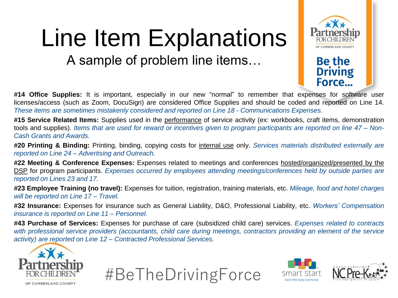### Line Item Explanations

A sample of problem line items…



**Be the Driving** Force...

**#14 Office Supplies:** It is important, especially in our new "normal" to remember that expenses for software user licenses/access (such as Zoom, DocuSign) are considered Office Supplies and should be coded and reported on Line 14. *These items are sometimes mistakenly considered and reported on Line 18 - Communications Expenses.*

**#15 Service Related Items:** Supplies used in the performance of service activity (ex: workbooks, craft items, demonstration tools and supplies). Items that are used for reward or incentives given to program participants are reported on line 47 – Non-*Cash Grants and Awards.*

**#20 Printing & Binding:** Printing, binding, copying costs for internal use only. *Services materials distributed externally are reported on Line 24 – Advertising and Outreach.*

**#22 Meeting & Conference Expenses:** Expenses related to meetings and conferences hosted/organized/presented by the DSP for program participants. *Expenses occurred by employees attending meetings/conferences held by outside parties are reported on Lines 23 and 17.*

**#23 Employee Training (no travel):** Expenses for tuition, registration, training materials, etc. *Mileage, food and hotel charges will be reported on Line 17 – Travel.*

**#32 Insurance:** Expenses for insurance such as General Liability, D&O, Professional Liability, etc. *Workers' Compensation insurance is reported on Line 11 – Personnel.*

**#43 Purchase of Services:** Expenses for purchase of care (subsidized child care) services. *Expenses related to contracts* with professional service providers (accountants, child care during meetings, contractors providing an element of the service *activity) are reported on Line 12 – Contracted Professional Services.*







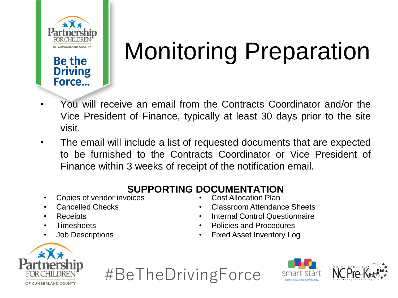

**Be the Driving** Force...

## Monitoring Preparation

- You will receive an email from the Contracts Coordinator and/or the Vice President of Finance, typically at least 30 days prior to the site visit.
- The email will include a list of requested documents that are expected to be furnished to the Contracts Coordinator or Vice President of Finance within 3 weeks of receipt of the notification email.

#### **SUPPORTING DOCUMENTATION**

- Copies of vendor invoices
- Cancelled Checks
- **Receipts**
- Timesheets
- Job Descriptions

• Cost Allocation Plan

- Classroom Attendance Sheets
- Internal Control Questionnaire
- Policies and Procedures
- Fixed Asset Inventory Log





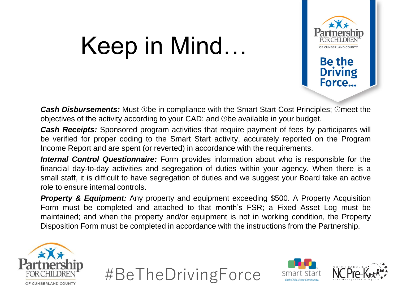#### Keep in Mind…



Force...

*Cash Disbursements:* Must ①be in compliance with the Smart Start Cost Principles; ②meet the objectives of the activity according to your CAD; and ➂be available in your budget.

*Cash Receipts:* Sponsored program activities that require payment of fees by participants will be verified for proper coding to the Smart Start activity, accurately reported on the Program Income Report and are spent (or reverted) in accordance with the requirements.

*Internal Control Questionnaire:* Form provides information about who is responsible for the financial day-to-day activities and segregation of duties within your agency. When there is a small staff, it is difficult to have segregation of duties and we suggest your Board take an active role to ensure internal controls.

*Property & Equipment:* Any property and equipment exceeding \$500. A Property Acquisition Form must be completed and attached to that month's FSR; a Fixed Asset Log must be maintained; and when the property and/or equipment is not in working condition, the Property Disposition Form must be completed in accordance with the instructions from the Partnership.







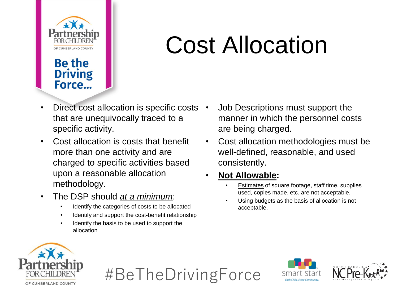

#### **Be the Driving** Force...

#### Cost Allocation

- Direct cost allocation is specific costs that are unequivocally traced to a specific activity.
- Cost allocation is costs that benefit more than one activity and are charged to specific activities based upon a reasonable allocation methodology.
- The DSP should *at a minimum*:
	- Identify the categories of costs to be allocated
	- Identify and support the cost-benefit relationship
	- Identify the basis to be used to support the allocation
- Job Descriptions must support the manner in which the personnel costs are being charged.
- Cost allocation methodologies must be well-defined, reasonable, and used consistently.
- **Not Allowable:**
	- Estimates of square footage, staff time, supplies used, copies made, etc. are not acceptable.
	- Using budgets as the basis of allocation is not acceptable.





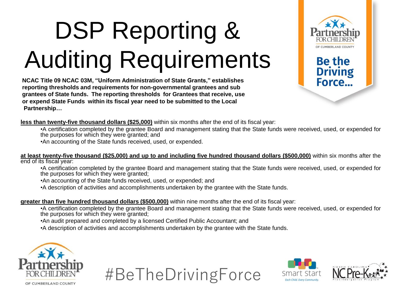# DSP Reporting & Auditing Requirements

**NCAC Title 09 NCAC 03M, "Uniform Administration of State Grants," establishes reporting thresholds and requirements for non-governmental grantees and sub grantees of State funds. The reporting thresholds for Grantees that receive, use or expend State Funds within its fiscal year need to be submitted to the Local Partnership…**



**Be the** 

**Driving** Force...

**less than twenty-five thousand dollars (\$25,000)** within six months after the end of its fiscal year:

•A certification completed by the grantee Board and management stating that the State funds were received, used, or expended for the purposes for which they were granted; and

•An accounting of the State funds received, used, or expended.

at least twenty-five thousand (\$25,000) and up to and including five hundred thousand dollars (\$500,000) within six months after the end of its fiscal year:

•A certification completed by the grantee Board and management stating that the State funds were received, used, or expended for the purposes for which they were granted;

•An accounting of the State funds received, used, or expended; and

•A description of activities and accomplishments undertaken by the grantee with the State funds.

#### **greater than five hundred thousand dollars (\$500,000)** within nine months after the end of its fiscal year:

•A certification completed by the grantee Board and management stating that the State funds were received, used, or expended for the purposes for which they were granted;

•An audit prepared and completed by a licensed Certified Public Accountant; and

•A description of activities and accomplishments undertaken by the grantee with the State funds.









OF CUMBERLAND COUNTY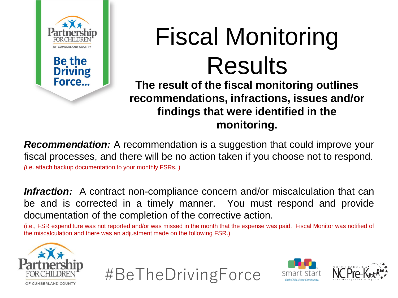

# Fiscal Monitoring Results

**The result of the fiscal monitoring outlines recommendations, infractions, issues and/or findings that were identified in the monitoring.**

*Recommendation:* A recommendation is a suggestion that could improve your fiscal processes, and there will be no action taken if you choose not to respond. *(*i.e. attach backup documentation to your monthly FSRs. )

**Infraction:** A contract non-compliance concern and/or miscalculation that can be and is corrected in a timely manner. You must respond and provide documentation of the completion of the corrective action.

(i.e., FSR expenditure was not reported and/or was missed in the month that the expense was paid. Fiscal Monitor was notified of the miscalculation and there was an adjustment made on the following FSR.)





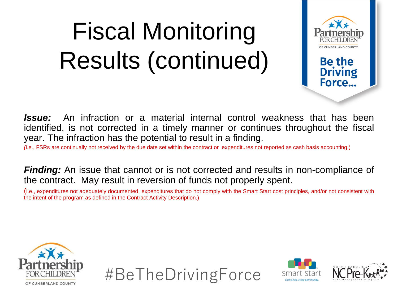### Fiscal Monitoring Results (continued)



Force...

*Issue:* An infraction or a material internal control weakness that has been identified, is not corrected in a timely manner or continues throughout the fiscal year. The infraction has the potential to result in a finding.

*(*i.e., FSRs are continually not received by the due date set within the contract or expenditures not reported as cash basis accounting.)

**Finding:** An issue that cannot or is not corrected and results in non-compliance of the contract. May result in reversion of funds not properly spent.

(i.e., expenditures not adequately documented, expenditures that do not comply with the Smart Start cost principles, and/or not consistent with the intent of the program as defined in the Contract Activity Description.)





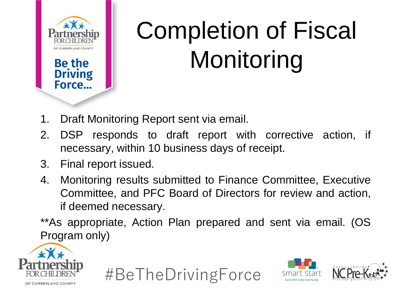

# Completion of Fiscal Monitoring

- 1. Draft Monitoring Report sent via email.
- 2. DSP responds to draft report with corrective action, if necessary, within 10 business days of receipt.
- 3. Final report issued.
- 4. Monitoring results submitted to Finance Committee, Executive Committee, and PFC Board of Directors for review and action, if deemed necessary.
- \*\*As appropriate, Action Plan prepared and sent via email. (OS Program only)





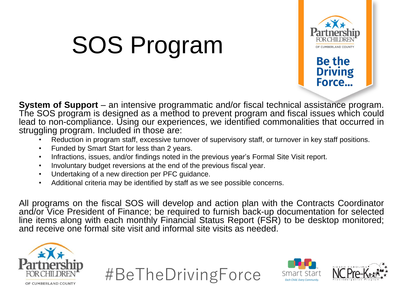## SOS Program



**Driving** Force...

**System of Support** – an intensive programmatic and/or fiscal technical assistance program. The SOS program is designed as a method to prevent program and fiscal issues which could lead to non-compliance. Using our experiences, we identified commonalities that occurred in struggling program. Included in those are:

- Reduction in program staff, excessive turnover of supervisory staff, or turnover in key staff positions.
- Funded by Smart Start for less than 2 years.
- Infractions, issues, and/or findings noted in the previous year's Formal Site Visit report.
- Involuntary budget reversions at the end of the previous fiscal year.
- Undertaking of a new direction per PFC guidance.
- Additional criteria may be identified by staff as we see possible concerns.

All programs on the fiscal SOS will develop and action plan with the Contracts Coordinator and/or Vice President of Finance; be required to furnish back-up documentation for selected line items along with each monthly Financial Status Report (FSR) to be desktop monitored; and receive one formal site visit and informal site visits as needed.